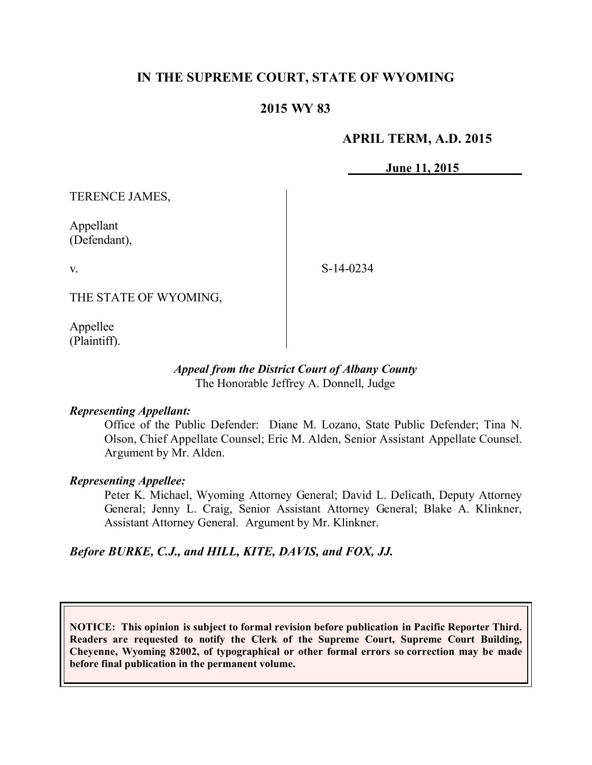# **IN THE SUPREME COURT, STATE OF WYOMING**

## **2015 WY 83**

## **APRIL TERM, A.D. 2015**

**June 11, 2015**

TERENCE JAMES,

Appellant (Defendant),

v.

S-14-0234

THE STATE OF WYOMING,

Appellee (Plaintiff).

### *Appeal from the District Court of Albany County* The Honorable Jeffrey A. Donnell, Judge

### *Representing Appellant:*

Office of the Public Defender: Diane M. Lozano, State Public Defender; Tina N. Olson, Chief Appellate Counsel; Eric M. Alden, Senior Assistant Appellate Counsel. Argument by Mr. Alden.

### *Representing Appellee:*

Peter K. Michael, Wyoming Attorney General; David L. Delicath, Deputy Attorney General; Jenny L. Craig, Senior Assistant Attorney General; Blake A. Klinkner, Assistant Attorney General. Argument by Mr. Klinkner.

*Before BURKE, C.J., and HILL, KITE, DAVIS, and FOX, JJ.*

**NOTICE: This opinion is subject to formal revision before publication in Pacific Reporter Third. Readers are requested to notify the Clerk of the Supreme Court, Supreme Court Building, Cheyenne, Wyoming 82002, of typographical or other formal errors so correction may be made before final publication in the permanent volume.**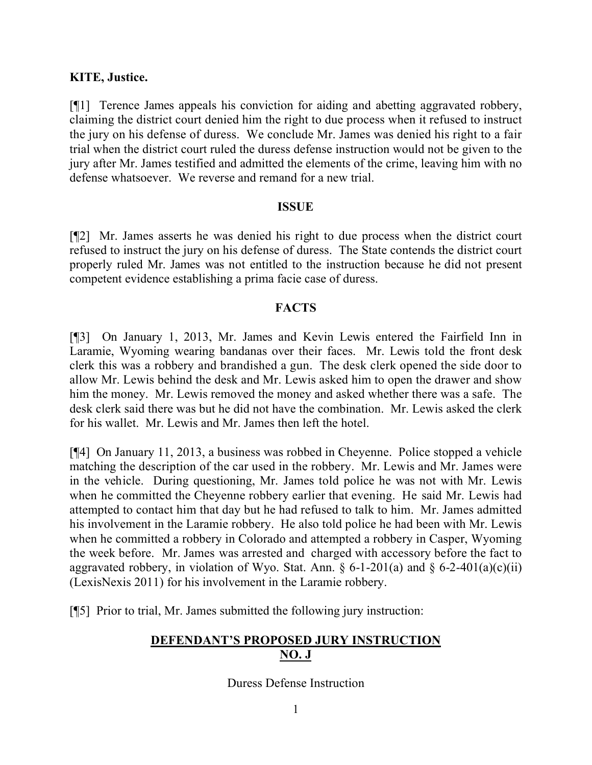## **KITE, Justice.**

[¶1] Terence James appeals his conviction for aiding and abetting aggravated robbery, claiming the district court denied him the right to due process when it refused to instruct the jury on his defense of duress. We conclude Mr. James was denied his right to a fair trial when the district court ruled the duress defense instruction would not be given to the jury after Mr. James testified and admitted the elements of the crime, leaving him with no defense whatsoever. We reverse and remand for a new trial.

### **ISSUE**

[¶2] Mr. James asserts he was denied his right to due process when the district court refused to instruct the jury on his defense of duress. The State contends the district court properly ruled Mr. James was not entitled to the instruction because he did not present competent evidence establishing a prima facie case of duress.

## **FACTS**

[¶3] On January 1, 2013, Mr. James and Kevin Lewis entered the Fairfield Inn in Laramie, Wyoming wearing bandanas over their faces. Mr. Lewis told the front desk clerk this was a robbery and brandished a gun. The desk clerk opened the side door to allow Mr. Lewis behind the desk and Mr. Lewis asked him to open the drawer and show him the money. Mr. Lewis removed the money and asked whether there was a safe. The desk clerk said there was but he did not have the combination. Mr. Lewis asked the clerk for his wallet. Mr. Lewis and Mr. James then left the hotel.

[¶4] On January 11, 2013, a business was robbed in Cheyenne. Police stopped a vehicle matching the description of the car used in the robbery. Mr. Lewis and Mr. James were in the vehicle. During questioning, Mr. James told police he was not with Mr. Lewis when he committed the Cheyenne robbery earlier that evening. He said Mr. Lewis had attempted to contact him that day but he had refused to talk to him. Mr. James admitted his involvement in the Laramie robbery. He also told police he had been with Mr. Lewis when he committed a robbery in Colorado and attempted a robbery in Casper, Wyoming the week before. Mr. James was arrested and charged with accessory before the fact to aggravated robbery, in violation of Wyo. Stat. Ann.  $\S 6$ -1-201(a) and  $\S 6$ -2-401(a)(c)(ii) (LexisNexis 2011) for his involvement in the Laramie robbery.

[¶5] Prior to trial, Mr. James submitted the following jury instruction:

# **DEFENDANT'S PROPOSED JURY INSTRUCTION NO. J**

Duress Defense Instruction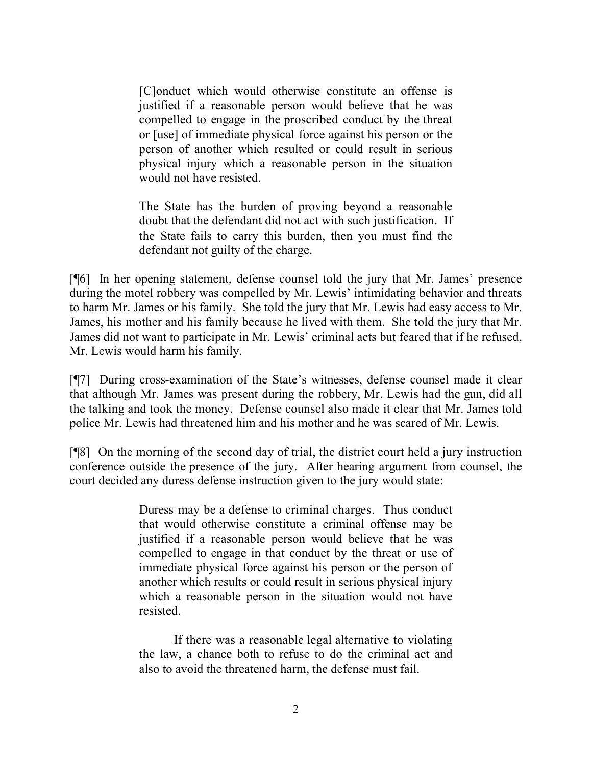[C]onduct which would otherwise constitute an offense is justified if a reasonable person would believe that he was compelled to engage in the proscribed conduct by the threat or [use] of immediate physical force against his person or the person of another which resulted or could result in serious physical injury which a reasonable person in the situation would not have resisted.

The State has the burden of proving beyond a reasonable doubt that the defendant did not act with such justification. If the State fails to carry this burden, then you must find the defendant not guilty of the charge.

[¶6] In her opening statement, defense counsel told the jury that Mr. James' presence during the motel robbery was compelled by Mr. Lewis' intimidating behavior and threats to harm Mr. James or his family. She told the jury that Mr. Lewis had easy access to Mr. James, his mother and his family because he lived with them. She told the jury that Mr. James did not want to participate in Mr. Lewis' criminal acts but feared that if he refused, Mr. Lewis would harm his family.

[¶7] During cross-examination of the State's witnesses, defense counsel made it clear that although Mr. James was present during the robbery, Mr. Lewis had the gun, did all the talking and took the money. Defense counsel also made it clear that Mr. James told police Mr. Lewis had threatened him and his mother and he was scared of Mr. Lewis.

[¶8] On the morning of the second day of trial, the district court held a jury instruction conference outside the presence of the jury. After hearing argument from counsel, the court decided any duress defense instruction given to the jury would state:

> Duress may be a defense to criminal charges. Thus conduct that would otherwise constitute a criminal offense may be justified if a reasonable person would believe that he was compelled to engage in that conduct by the threat or use of immediate physical force against his person or the person of another which results or could result in serious physical injury which a reasonable person in the situation would not have resisted.

> If there was a reasonable legal alternative to violating the law, a chance both to refuse to do the criminal act and also to avoid the threatened harm, the defense must fail.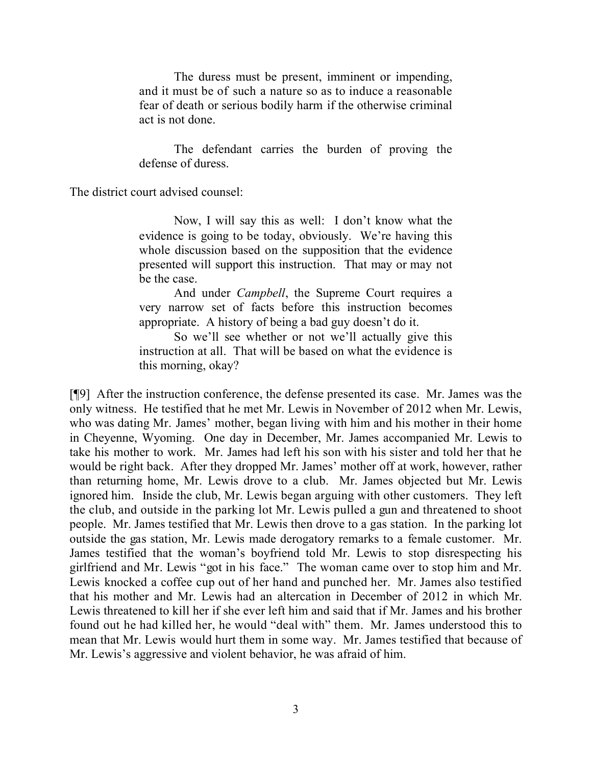The duress must be present, imminent or impending, and it must be of such a nature so as to induce a reasonable fear of death or serious bodily harm if the otherwise criminal act is not done.

The defendant carries the burden of proving the defense of duress.

The district court advised counsel:

Now, I will say this as well: I don't know what the evidence is going to be today, obviously. We're having this whole discussion based on the supposition that the evidence presented will support this instruction. That may or may not be the case.

And under *Campbell*, the Supreme Court requires a very narrow set of facts before this instruction becomes appropriate. A history of being a bad guy doesn't do it.

So we'll see whether or not we'll actually give this instruction at all. That will be based on what the evidence is this morning, okay?

[¶9] After the instruction conference, the defense presented its case. Mr. James was the only witness. He testified that he met Mr. Lewis in November of 2012 when Mr. Lewis, who was dating Mr. James' mother, began living with him and his mother in their home in Cheyenne, Wyoming. One day in December, Mr. James accompanied Mr. Lewis to take his mother to work. Mr. James had left his son with his sister and told her that he would be right back. After they dropped Mr. James' mother off at work, however, rather than returning home, Mr. Lewis drove to a club. Mr. James objected but Mr. Lewis ignored him. Inside the club, Mr. Lewis began arguing with other customers. They left the club, and outside in the parking lot Mr. Lewis pulled a gun and threatened to shoot people. Mr. James testified that Mr. Lewis then drove to a gas station. In the parking lot outside the gas station, Mr. Lewis made derogatory remarks to a female customer. Mr. James testified that the woman's boyfriend told Mr. Lewis to stop disrespecting his girlfriend and Mr. Lewis "got in his face." The woman came over to stop him and Mr. Lewis knocked a coffee cup out of her hand and punched her. Mr. James also testified that his mother and Mr. Lewis had an altercation in December of 2012 in which Mr. Lewis threatened to kill her if she ever left him and said that if Mr. James and his brother found out he had killed her, he would "deal with" them. Mr. James understood this to mean that Mr. Lewis would hurt them in some way. Mr. James testified that because of Mr. Lewis's aggressive and violent behavior, he was afraid of him.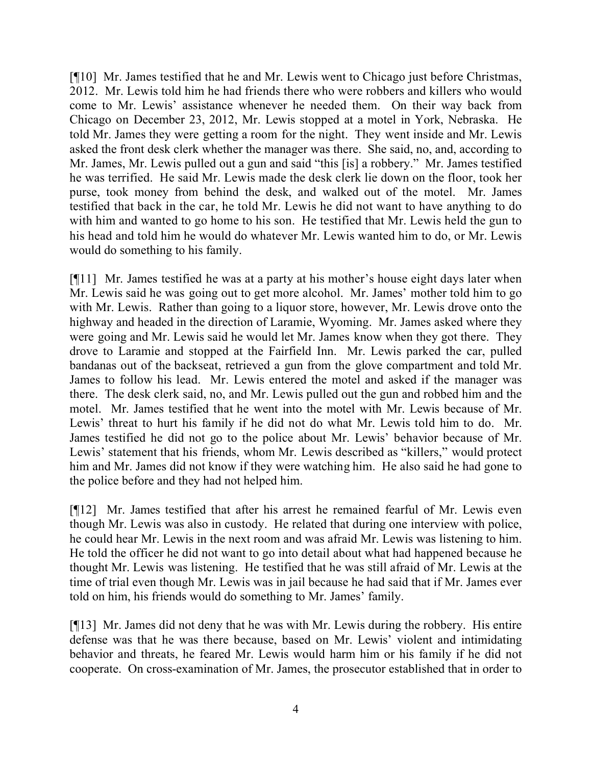[¶10] Mr. James testified that he and Mr. Lewis went to Chicago just before Christmas, 2012. Mr. Lewis told him he had friends there who were robbers and killers who would come to Mr. Lewis' assistance whenever he needed them. On their way back from Chicago on December 23, 2012, Mr. Lewis stopped at a motel in York, Nebraska. He told Mr. James they were getting a room for the night. They went inside and Mr. Lewis asked the front desk clerk whether the manager was there. She said, no, and, according to Mr. James, Mr. Lewis pulled out a gun and said "this [is] a robbery." Mr. James testified he was terrified. He said Mr. Lewis made the desk clerk lie down on the floor, took her purse, took money from behind the desk, and walked out of the motel. Mr. James testified that back in the car, he told Mr. Lewis he did not want to have anything to do with him and wanted to go home to his son. He testified that Mr. Lewis held the gun to his head and told him he would do whatever Mr. Lewis wanted him to do, or Mr. Lewis would do something to his family.

[¶11] Mr. James testified he was at a party at his mother's house eight days later when Mr. Lewis said he was going out to get more alcohol. Mr. James' mother told him to go with Mr. Lewis. Rather than going to a liquor store, however, Mr. Lewis drove onto the highway and headed in the direction of Laramie, Wyoming. Mr. James asked where they were going and Mr. Lewis said he would let Mr. James know when they got there. They drove to Laramie and stopped at the Fairfield Inn. Mr. Lewis parked the car, pulled bandanas out of the backseat, retrieved a gun from the glove compartment and told Mr. James to follow his lead. Mr. Lewis entered the motel and asked if the manager was there. The desk clerk said, no, and Mr. Lewis pulled out the gun and robbed him and the motel. Mr. James testified that he went into the motel with Mr. Lewis because of Mr. Lewis' threat to hurt his family if he did not do what Mr. Lewis told him to do. Mr. James testified he did not go to the police about Mr. Lewis' behavior because of Mr. Lewis' statement that his friends, whom Mr. Lewis described as "killers," would protect him and Mr. James did not know if they were watching him. He also said he had gone to the police before and they had not helped him.

[¶12] Mr. James testified that after his arrest he remained fearful of Mr. Lewis even though Mr. Lewis was also in custody. He related that during one interview with police, he could hear Mr. Lewis in the next room and was afraid Mr. Lewis was listening to him. He told the officer he did not want to go into detail about what had happened because he thought Mr. Lewis was listening. He testified that he was still afraid of Mr. Lewis at the time of trial even though Mr. Lewis was in jail because he had said that if Mr. James ever told on him, his friends would do something to Mr. James' family.

[¶13] Mr. James did not deny that he was with Mr. Lewis during the robbery. His entire defense was that he was there because, based on Mr. Lewis' violent and intimidating behavior and threats, he feared Mr. Lewis would harm him or his family if he did not cooperate. On cross-examination of Mr. James, the prosecutor established that in order to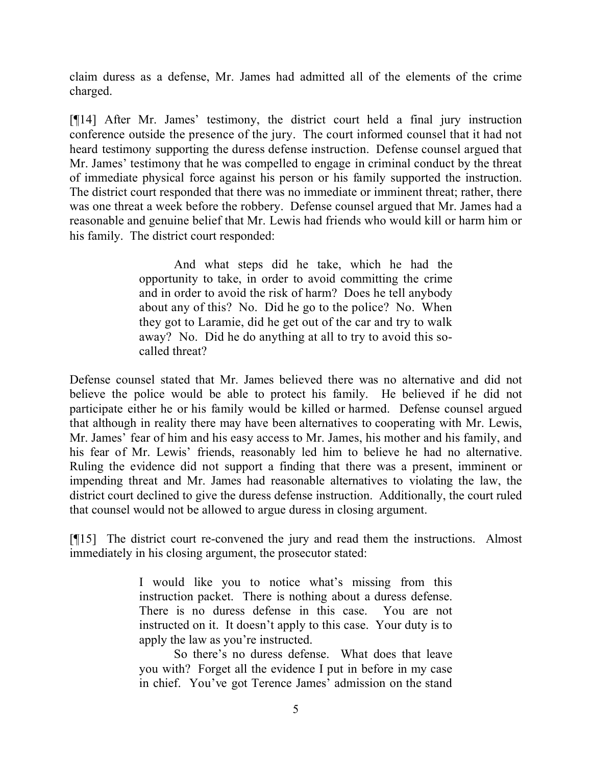claim duress as a defense, Mr. James had admitted all of the elements of the crime charged.

[¶14] After Mr. James' testimony, the district court held a final jury instruction conference outside the presence of the jury. The court informed counsel that it had not heard testimony supporting the duress defense instruction. Defense counsel argued that Mr. James' testimony that he was compelled to engage in criminal conduct by the threat of immediate physical force against his person or his family supported the instruction. The district court responded that there was no immediate or imminent threat; rather, there was one threat a week before the robbery. Defense counsel argued that Mr. James had a reasonable and genuine belief that Mr. Lewis had friends who would kill or harm him or his family. The district court responded:

> And what steps did he take, which he had the opportunity to take, in order to avoid committing the crime and in order to avoid the risk of harm? Does he tell anybody about any of this? No. Did he go to the police? No. When they got to Laramie, did he get out of the car and try to walk away? No. Did he do anything at all to try to avoid this socalled threat?

Defense counsel stated that Mr. James believed there was no alternative and did not believe the police would be able to protect his family. He believed if he did not participate either he or his family would be killed or harmed. Defense counsel argued that although in reality there may have been alternatives to cooperating with Mr. Lewis, Mr. James' fear of him and his easy access to Mr. James, his mother and his family, and his fear of Mr. Lewis' friends, reasonably led him to believe he had no alternative. Ruling the evidence did not support a finding that there was a present, imminent or impending threat and Mr. James had reasonable alternatives to violating the law, the district court declined to give the duress defense instruction. Additionally, the court ruled that counsel would not be allowed to argue duress in closing argument.

[¶15] The district court re-convened the jury and read them the instructions. Almost immediately in his closing argument, the prosecutor stated:

> I would like you to notice what's missing from this instruction packet. There is nothing about a duress defense. There is no duress defense in this case. You are not instructed on it. It doesn't apply to this case. Your duty is to apply the law as you're instructed.

> So there's no duress defense. What does that leave you with? Forget all the evidence I put in before in my case in chief. You've got Terence James' admission on the stand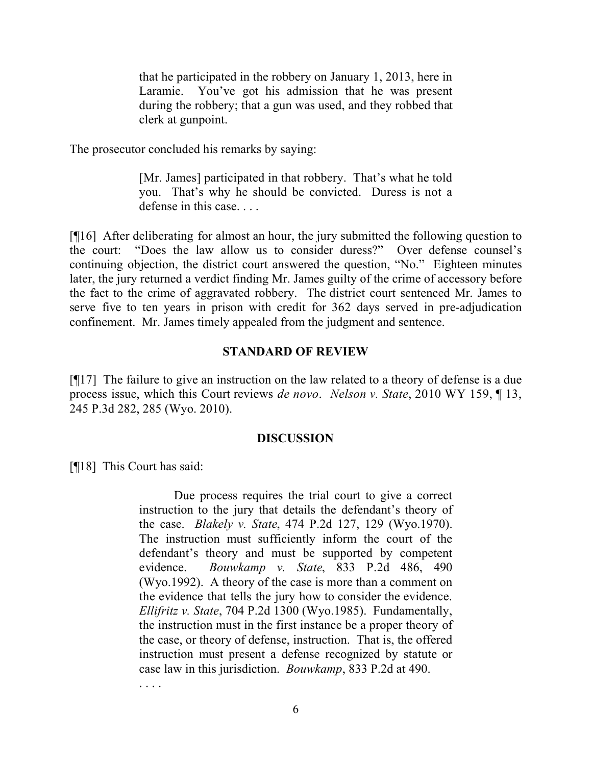that he participated in the robbery on January 1, 2013, here in Laramie. You've got his admission that he was present during the robbery; that a gun was used, and they robbed that clerk at gunpoint.

The prosecutor concluded his remarks by saying:

[Mr. James] participated in that robbery. That's what he told you. That's why he should be convicted. Duress is not a defense in this case. . . .

[¶16] After deliberating for almost an hour, the jury submitted the following question to the court: "Does the law allow us to consider duress?" Over defense counsel's continuing objection, the district court answered the question, "No." Eighteen minutes later, the jury returned a verdict finding Mr. James guilty of the crime of accessory before the fact to the crime of aggravated robbery. The district court sentenced Mr. James to serve five to ten years in prison with credit for 362 days served in pre-adjudication confinement. Mr. James timely appealed from the judgment and sentence.

### **STANDARD OF REVIEW**

[¶17] The failure to give an instruction on the law related to a theory of defense is a due process issue, which this Court reviews *de novo*. *Nelson v. State*, 2010 WY 159, ¶ 13, 245 P.3d 282, 285 (Wyo. 2010).

### **DISCUSSION**

[¶18] This Court has said:

Due process requires the trial court to give a correct instruction to the jury that details the defendant's theory of the case. *Blakely v. State*, 474 P.2d 127, 129 (Wyo.1970). The instruction must sufficiently inform the court of the defendant's theory and must be supported by competent evidence. *Bouwkamp v. State*, 833 P.2d 486, 490 (Wyo.1992). A theory of the case is more than a comment on the evidence that tells the jury how to consider the evidence. *Ellifritz v. State*, 704 P.2d 1300 (Wyo.1985). Fundamentally, the instruction must in the first instance be a proper theory of the case, or theory of defense, instruction. That is, the offered instruction must present a defense recognized by statute or case law in this jurisdiction. *Bouwkamp*, 833 P.2d at 490.

. . . .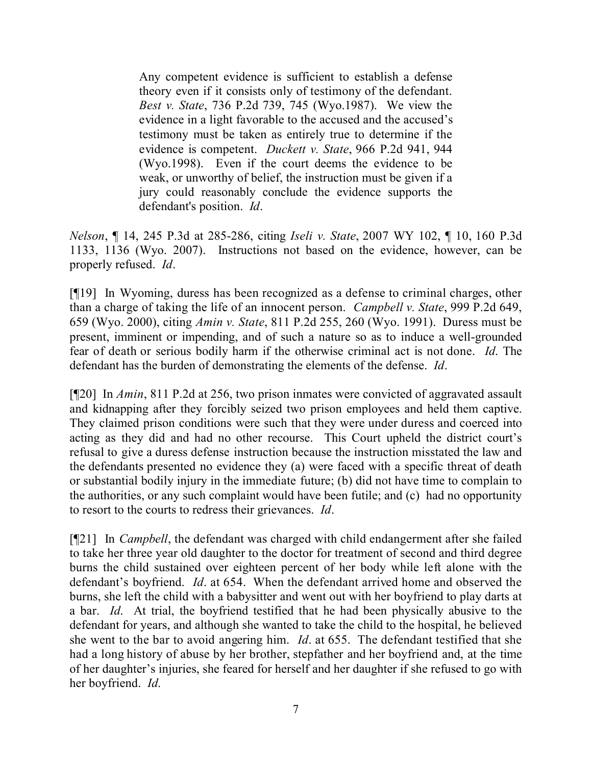Any competent evidence is sufficient to establish a defense theory even if it consists only of testimony of the defendant. *Best v. State*, 736 P.2d 739, 745 (Wyo.1987). We view the evidence in a light favorable to the accused and the accused's testimony must be taken as entirely true to determine if the evidence is competent. *Duckett v. State*, 966 P.2d 941, 944 (Wyo.1998). Even if the court deems the evidence to be weak, or unworthy of belief, the instruction must be given if a jury could reasonably conclude the evidence supports the defendant's position. *Id*.

*Nelson*, ¶ 14, 245 P.3d at 285-286, citing *Iseli v. State*, 2007 WY 102, ¶ 10, 160 P.3d 1133, 1136 (Wyo. 2007). Instructions not based on the evidence, however, can be properly refused. *Id*.

[¶19] In Wyoming, duress has been recognized as a defense to criminal charges, other than a charge of taking the life of an innocent person. *Campbell v. State*, 999 P.2d 649, 659 (Wyo. 2000), citing *Amin v. State*, 811 P.2d 255, 260 (Wyo. 1991). Duress must be present, imminent or impending, and of such a nature so as to induce a well-grounded fear of death or serious bodily harm if the otherwise criminal act is not done. *Id*. The defendant has the burden of demonstrating the elements of the defense. *Id*.

[¶20] In *Amin*, 811 P.2d at 256, two prison inmates were convicted of aggravated assault and kidnapping after they forcibly seized two prison employees and held them captive. They claimed prison conditions were such that they were under duress and coerced into acting as they did and had no other recourse. This Court upheld the district court's refusal to give a duress defense instruction because the instruction misstated the law and the defendants presented no evidence they (a) were faced with a specific threat of death or substantial bodily injury in the immediate future; (b) did not have time to complain to the authorities, or any such complaint would have been futile; and (c) had no opportunity to resort to the courts to redress their grievances. *Id*.

[¶21] In *Campbell*, the defendant was charged with child endangerment after she failed to take her three year old daughter to the doctor for treatment of second and third degree burns the child sustained over eighteen percent of her body while left alone with the defendant's boyfriend. *Id*. at 654. When the defendant arrived home and observed the burns, she left the child with a babysitter and went out with her boyfriend to play darts at a bar. *Id*. At trial, the boyfriend testified that he had been physically abusive to the defendant for years, and although she wanted to take the child to the hospital, he believed she went to the bar to avoid angering him. *Id*. at 655. The defendant testified that she had a long history of abuse by her brother, stepfather and her boyfriend and, at the time of her daughter's injuries, she feared for herself and her daughter if she refused to go with her boyfriend. *Id*.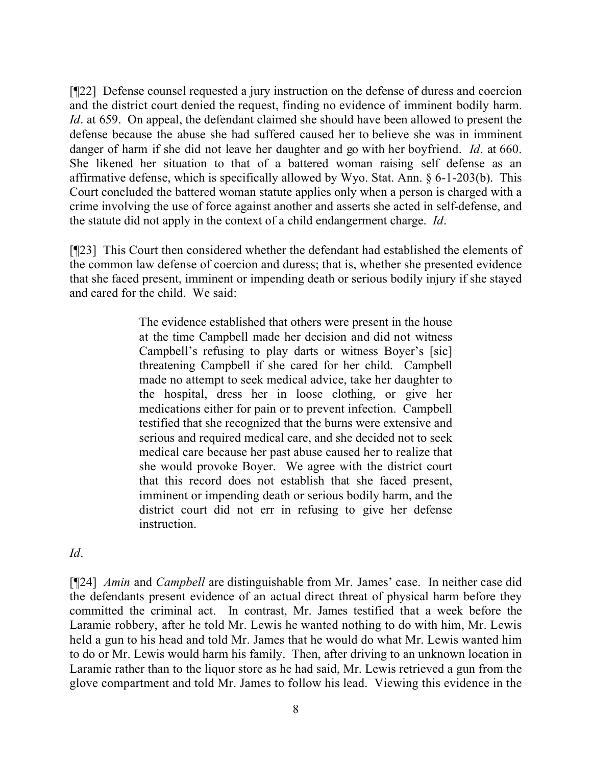[¶22] Defense counsel requested a jury instruction on the defense of duress and coercion and the district court denied the request, finding no evidence of imminent bodily harm. *Id*. at 659. On appeal, the defendant claimed she should have been allowed to present the defense because the abuse she had suffered caused her to believe she was in imminent danger of harm if she did not leave her daughter and go with her boyfriend. *Id*. at 660. She likened her situation to that of a battered woman raising self defense as an affirmative defense, which is specifically allowed by Wyo. Stat. Ann. § 6-1-203(b). This Court concluded the battered woman statute applies only when a person is charged with a crime involving the use of force against another and asserts she acted in self-defense, and the statute did not apply in the context of a child endangerment charge. *Id*.

[¶23] This Court then considered whether the defendant had established the elements of the common law defense of coercion and duress; that is, whether she presented evidence that she faced present, imminent or impending death or serious bodily injury if she stayed and cared for the child. We said:

> The evidence established that others were present in the house at the time Campbell made her decision and did not witness Campbell's refusing to play darts or witness Boyer's [sic] threatening Campbell if she cared for her child. Campbell made no attempt to seek medical advice, take her daughter to the hospital, dress her in loose clothing, or give her medications either for pain or to prevent infection. Campbell testified that she recognized that the burns were extensive and serious and required medical care, and she decided not to seek medical care because her past abuse caused her to realize that she would provoke Boyer. We agree with the district court that this record does not establish that she faced present, imminent or impending death or serious bodily harm, and the district court did not err in refusing to give her defense instruction.

*Id*.

[¶24] *Amin* and *Campbell* are distinguishable from Mr. James' case. In neither case did the defendants present evidence of an actual direct threat of physical harm before they committed the criminal act. In contrast, Mr. James testified that a week before the Laramie robbery, after he told Mr. Lewis he wanted nothing to do with him, Mr. Lewis held a gun to his head and told Mr. James that he would do what Mr. Lewis wanted him to do or Mr. Lewis would harm his family. Then, after driving to an unknown location in Laramie rather than to the liquor store as he had said, Mr. Lewis retrieved a gun from the glove compartment and told Mr. James to follow his lead. Viewing this evidence in the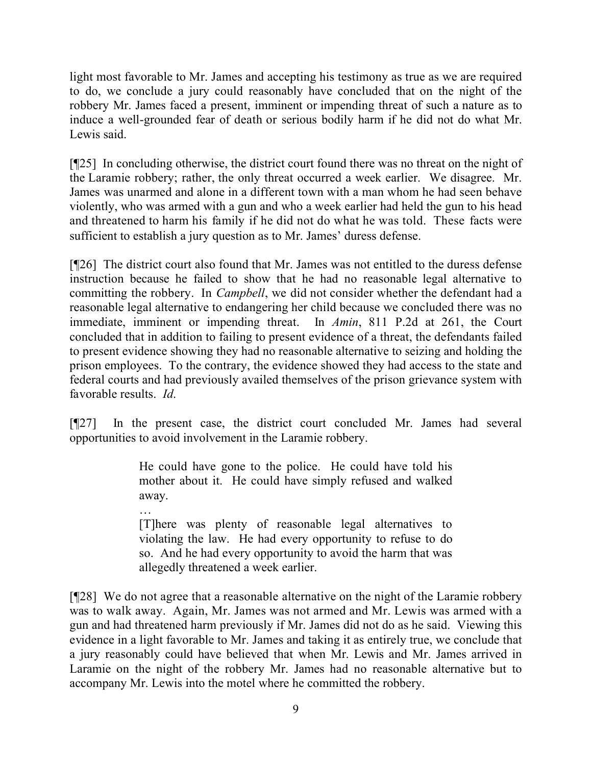light most favorable to Mr. James and accepting his testimony as true as we are required to do, we conclude a jury could reasonably have concluded that on the night of the robbery Mr. James faced a present, imminent or impending threat of such a nature as to induce a well-grounded fear of death or serious bodily harm if he did not do what Mr. Lewis said.

[¶25] In concluding otherwise, the district court found there was no threat on the night of the Laramie robbery; rather, the only threat occurred a week earlier. We disagree. Mr. James was unarmed and alone in a different town with a man whom he had seen behave violently, who was armed with a gun and who a week earlier had held the gun to his head and threatened to harm his family if he did not do what he was told. These facts were sufficient to establish a jury question as to Mr. James' duress defense.

[¶26] The district court also found that Mr. James was not entitled to the duress defense instruction because he failed to show that he had no reasonable legal alternative to committing the robbery. In *Campbell*, we did not consider whether the defendant had a reasonable legal alternative to endangering her child because we concluded there was no immediate, imminent or impending threat. In *Amin*, 811 P.2d at 261, the Court concluded that in addition to failing to present evidence of a threat, the defendants failed to present evidence showing they had no reasonable alternative to seizing and holding the prison employees. To the contrary, the evidence showed they had access to the state and federal courts and had previously availed themselves of the prison grievance system with favorable results. *Id*.

[¶27] In the present case, the district court concluded Mr. James had several opportunities to avoid involvement in the Laramie robbery.

> He could have gone to the police. He could have told his mother about it. He could have simply refused and walked away.

> [T]here was plenty of reasonable legal alternatives to violating the law. He had every opportunity to refuse to do so. And he had every opportunity to avoid the harm that was allegedly threatened a week earlier.

[¶28] We do not agree that a reasonable alternative on the night of the Laramie robbery was to walk away. Again, Mr. James was not armed and Mr. Lewis was armed with a gun and had threatened harm previously if Mr. James did not do as he said. Viewing this evidence in a light favorable to Mr. James and taking it as entirely true, we conclude that a jury reasonably could have believed that when Mr. Lewis and Mr. James arrived in Laramie on the night of the robbery Mr. James had no reasonable alternative but to accompany Mr. Lewis into the motel where he committed the robbery.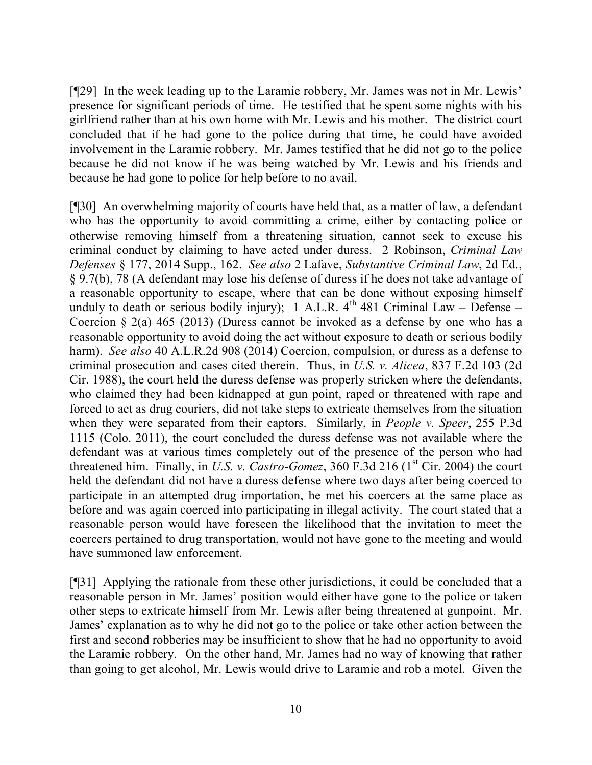[¶29] In the week leading up to the Laramie robbery, Mr. James was not in Mr. Lewis' presence for significant periods of time. He testified that he spent some nights with his girlfriend rather than at his own home with Mr. Lewis and his mother. The district court concluded that if he had gone to the police during that time, he could have avoided involvement in the Laramie robbery. Mr. James testified that he did not go to the police because he did not know if he was being watched by Mr. Lewis and his friends and because he had gone to police for help before to no avail.

[¶30] An overwhelming majority of courts have held that, as a matter of law, a defendant who has the opportunity to avoid committing a crime, either by contacting police or otherwise removing himself from a threatening situation, cannot seek to excuse his criminal conduct by claiming to have acted under duress. 2 Robinson, *Criminal Law Defenses* § 177, 2014 Supp., 162. *See also* 2 Lafave, *Substantive Criminal Law*, 2d Ed., § 9.7(b), 78 (A defendant may lose his defense of duress if he does not take advantage of a reasonable opportunity to escape, where that can be done without exposing himself unduly to death or serious bodily injury); 1 A.L.R.  $4<sup>th</sup>$  481 Criminal Law – Defense – Coercion  $\S$  2(a) 465 (2013) (Duress cannot be invoked as a defense by one who has a reasonable opportunity to avoid doing the act without exposure to death or serious bodily harm). *See also* 40 A.L.R.2d 908 (2014) Coercion, compulsion, or duress as a defense to criminal prosecution and cases cited therein. Thus, in *U.S. v. Alicea*, 837 F.2d 103 (2d Cir. 1988), the court held the duress defense was properly stricken where the defendants, who claimed they had been kidnapped at gun point, raped or threatened with rape and forced to act as drug couriers, did not take steps to extricate themselves from the situation when they were separated from their captors. Similarly, in *People v. Speer*, 255 P.3d 1115 (Colo. 2011), the court concluded the duress defense was not available where the defendant was at various times completely out of the presence of the person who had threatened him. Finally, in *U.S. v. Castro-Gomez*, 360  $\overline{F}$ .3d 216 (1<sup>st</sup> Cir. 2004) the court held the defendant did not have a duress defense where two days after being coerced to participate in an attempted drug importation, he met his coercers at the same place as before and was again coerced into participating in illegal activity. The court stated that a reasonable person would have foreseen the likelihood that the invitation to meet the coercers pertained to drug transportation, would not have gone to the meeting and would have summoned law enforcement.

[¶31] Applying the rationale from these other jurisdictions, it could be concluded that a reasonable person in Mr. James' position would either have gone to the police or taken other steps to extricate himself from Mr. Lewis after being threatened at gunpoint. Mr. James' explanation as to why he did not go to the police or take other action between the first and second robberies may be insufficient to show that he had no opportunity to avoid the Laramie robbery. On the other hand, Mr. James had no way of knowing that rather than going to get alcohol, Mr. Lewis would drive to Laramie and rob a motel. Given the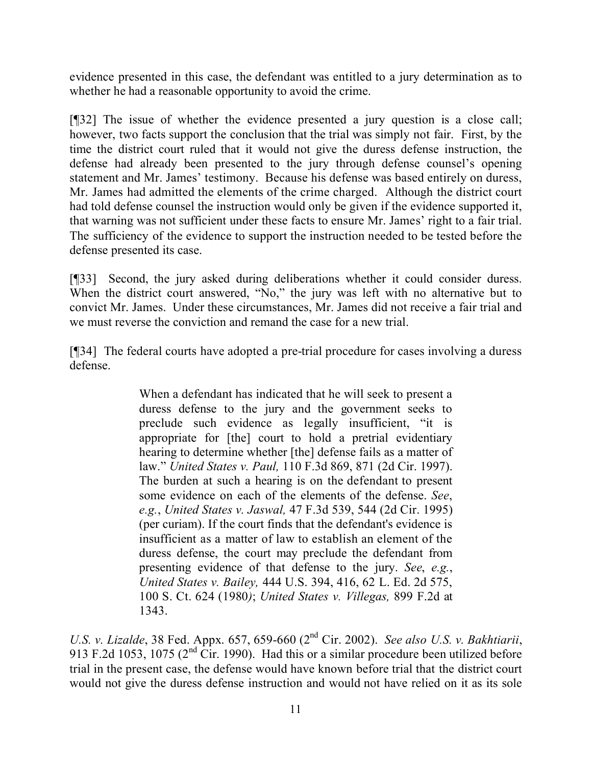evidence presented in this case, the defendant was entitled to a jury determination as to whether he had a reasonable opportunity to avoid the crime.

[¶32] The issue of whether the evidence presented a jury question is a close call; however, two facts support the conclusion that the trial was simply not fair. First, by the time the district court ruled that it would not give the duress defense instruction, the defense had already been presented to the jury through defense counsel's opening statement and Mr. James' testimony. Because his defense was based entirely on duress, Mr. James had admitted the elements of the crime charged. Although the district court had told defense counsel the instruction would only be given if the evidence supported it, that warning was not sufficient under these facts to ensure Mr. James' right to a fair trial. The sufficiency of the evidence to support the instruction needed to be tested before the defense presented its case.

[¶33] Second, the jury asked during deliberations whether it could consider duress. When the district court answered, "No," the jury was left with no alternative but to convict Mr. James. Under these circumstances, Mr. James did not receive a fair trial and we must reverse the conviction and remand the case for a new trial.

[¶34] The federal courts have adopted a pre-trial procedure for cases involving a duress defense.

> When a defendant has indicated that he will seek to present a duress defense to the jury and the government seeks to preclude such evidence as legally insufficient, "it is appropriate for [the] court to hold a pretrial evidentiary hearing to determine whether [the] defense fails as a matter of law." *United States v. Paul,* 110 F.3d 869, 871 (2d Cir. 1997). The burden at such a hearing is on the defendant to present some evidence on each of the elements of the defense. *See*, *e.g.*, *United States v. Jaswal,* 47 F.3d 539, 544 (2d Cir. 1995) (per curiam). If the court finds that the defendant's evidence is insufficient as a matter of law to establish an element of the duress defense, the court may preclude the defendant from presenting evidence of that defense to the jury. *See*, *e.g.*, *United States v. Bailey,* 444 U.S. 394, 416, 62 L. Ed. 2d 575, 100 S. Ct. 624 (1980*)*; *United States v. Villegas,* 899 F.2d at 1343.

*U.S. v. Lizalde*, 38 Fed. Appx. 657, 659-660 (2nd Cir. 2002). *See also U.S. v. Bakhtiarii*, 913 F.2d 1053, 1075 (2<sup>nd</sup> Cir. 1990). Had this or a similar procedure been utilized before trial in the present case, the defense would have known before trial that the district court would not give the duress defense instruction and would not have relied on it as its sole